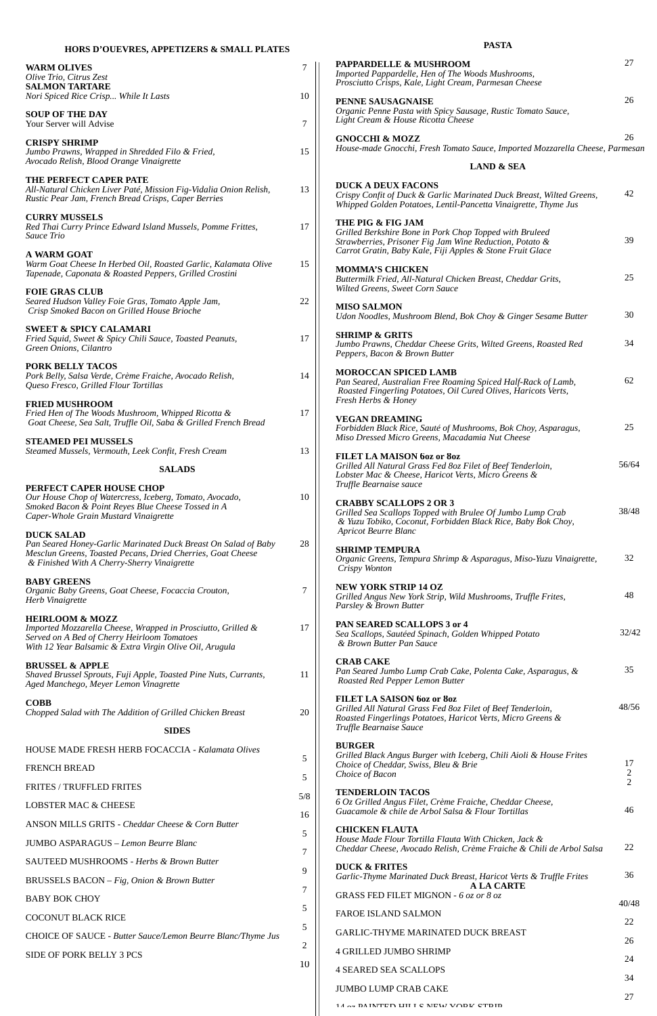# **HORS D'OUEVRES, APPETIZERS & SMALL PLATES**

# **WARM OLIVES** *Olive Trio, Citrus Zest* **SALMON TARTARE** *Nori Spiced Rice Crisp... While It Lasts* **SOUP OF THE DAY** Your Server will Advise **CRISPY SHRIMP** *Jumbo Prawns, Wrapped in Shredded Filo & Fried, Avocado Relish, Blood Orange Vinaigrette* **THE PERFECT CAPER PATÉ** *All-Natural Chicken Liver Paté, Mission Fig-Vidalia Onion Relish, Rustic Pear Jam, French Bread Crisps, Caper Berries* **CURRY MUSSELS** *Red Thai Curry Prince Edward Island Mussels, Pomme Frittes, Sauce Trio* **A WARM GOAT** *Warm Goat Cheese In Herbed Oil, Roasted Garlic, Kalamata Olive Tapenade, Caponata & Roasted Peppers, Grilled Crostini* **FOIE GRAS CLUB** *Seared Hudson Valley Foie Gras, Tomato Apple Jam, Crisp Smoked Bacon on Grilled House Brioche* **SWEET & SPICY CALAMARI** *Fried Squid, Sweet & Spicy Chili Sauce, Toasted Peanuts, Green Onions, Cilantro* **PORK BELLY TACOS** *Pork Belly, Salsa Verde, Crème Fraiche, Avocado Relish, Queso Fresco, Grilled Flour Tortillas* **FRIED MUSHROOM** *Fried Hen of The Woods Mushroom, Whipped Ricotta & Goat Cheese, Sea Salt, Truffle Oil, Saba & Grilled French Bread* **STEAMED PEI MUSSELS** *Steamed Mussels, Vermouth, Leek Confit, Fresh Cream* **SALADS PERFECT CAPER HOUSE CHOP** *Our House Chop of Watercress, Iceberg, Tomato, Avocado, Smoked Bacon & Point Reyes Blue Cheese Tossed in A Caper-Whole Grain Mustard Vinaigrette* **DUCK SALAD** *Pan Seared Honey-Garlic Marinated Duck Breast On Salad of Baby Mesclun Greens, Toasted Pecans, Dried Cherries, Goat Cheese & Finished With A Cherry-Sherry Vinaigrette* **BABY GREENS** *Organic Baby Greens, Goat Cheese, Focaccia Crouton, Herb Vinaigrette* **HEIRLOOM & MOZZ** *Imported Mozzarella Cheese, Wrapped in Prosciutto, Grilled & Served on A Bed of Cherry Heirloom Tomatoes With 12 Year Balsamic & Extra Virgin Olive Oil, Arugula* **BRUSSEL & APPLE** *Shaved Brussel Sprouts, Fuji Apple, Toasted Pine Nuts, Currants, Aged Manchego, Meyer Lemon Vinagrette* **COBB** *Chopped Salad with The Addition of Grilled Chicken Breast* **SIDES** 7 10 7 15 13 17 15 22 17 14 17 13 10 28 7 17 11 20

# **PASTA**

| HOUSE MADE FRESH HERB FOCACCIA - Kalamata Olives<br><b>FRENCH BREAD</b>                            | 5        | <b>BURGER</b><br>Grilled Black Angus Burger with Iceberg, Chili Aioli & House Frites<br>Choice of Cheddar, Swiss, Bleu & Brie<br>Choice of Bacon | 17<br>$\overline{2}$ |
|----------------------------------------------------------------------------------------------------|----------|--------------------------------------------------------------------------------------------------------------------------------------------------|----------------------|
| <b>FRITES / TRUFFLED FRITES</b>                                                                    | 5<br>5/8 | <b>TENDERLOIN TACOS</b>                                                                                                                          | $\overline{2}$       |
| <b>LOBSTER MAC &amp; CHEESE</b>                                                                    | 16       | 6 Oz Grilled Angus Filet, Crème Fraiche, Cheddar Cheese,<br>Guacamole & chile de Arbol Salsa & Flour Tortillas                                   | 46                   |
| ANSON MILLS GRITS - Cheddar Cheese & Corn Butter                                                   | 5        | <b>CHICKEN FLAUTA</b><br>House Made Flour Tortilla Flauta With Chicken, Jack &                                                                   |                      |
| <b>JUMBO ASPARAGUS - Lemon Beurre Blanc</b><br><b>SAUTEED MUSHROOMS - Herbs &amp; Brown Butter</b> | 7        | Cheddar Cheese, Avocado Relish, Crème Fraiche & Chili de Arbol Salsa                                                                             | 22                   |
| BRUSSELS BACON - Fig, Onion & Brown Butter                                                         | 9        | <b>DUCK &amp; FRITES</b><br>Garlic-Thyme Marinated Duck Breast, Haricot Verts & Truffle Frites                                                   | 36                   |
| <b>BABY BOK CHOY</b>                                                                               | 7        | <b>A LA CARTE</b><br>GRASS FED FILET MIGNON - 6 oz or 8 oz                                                                                       | 40/48                |
| <b>COCONUT BLACK RICE</b>                                                                          | 5        | <b>FAROE ISLAND SALMON</b>                                                                                                                       | 22                   |
| CHOICE OF SAUCE - Butter Sauce/Lemon Beurre Blanc/Thyme Jus                                        | 5<br>2   | <b>GARLIC-THYME MARINATED DUCK BREAST</b>                                                                                                        | 26                   |
| SIDE OF PORK BELLY 3 PCS                                                                           | 10       | <b>4 GRILLED JUMBO SHRIMP</b>                                                                                                                    | 24                   |
|                                                                                                    |          | <b>4 SEARED SEA SCALLOPS</b><br><b>JUMBO LUMP CRAB CAKE</b>                                                                                      | 34                   |
|                                                                                                    |          |                                                                                                                                                  | 27                   |

14 oz PAINTED HIILL O NEW YOOK CEDIN

| <b>PAPPARDELLE &amp; MUSHROOM</b><br>Imported Pappardelle, Hen of The Woods Mushrooms,<br>Prosciutto Crisps, Kale, Light Cream, Parmesan Cheese                                                      | 27    |
|------------------------------------------------------------------------------------------------------------------------------------------------------------------------------------------------------|-------|
| <b>PENNE SAUSAGNAISE</b><br>Organic Penne Pasta with Spicy Sausage, Rustic Tomato Sauce,<br>Light Cream & House Ricotta Cheese                                                                       | 26    |
| <b>GNOCCHI &amp; MOZZ</b><br>House-made Gnocchi, Fresh Tomato Sauce, Imported Mozzarella Cheese, Parmesan                                                                                            | 26    |
| <b>LAND &amp; SEA</b>                                                                                                                                                                                |       |
| <b>DUCK A DEUX FACONS</b><br>Crispy Confit of Duck & Garlic Marinated Duck Breast, Wilted Greens,<br>Whipped Golden Potatoes, Lentil-Pancetta Vinaigrette, Thyme Jus                                 | 42    |
| THE PIG & FIG JAM<br>Grilled Berkshire Bone in Pork Chop Topped with Bruleed<br>Strawberries, Prisoner Fig Jam Wine Reduction, Potato &<br>Carrot Gratin, Baby Kale, Fiji Apples & Stone Fruit Glace | 39    |
| <b>MOMMA'S CHICKEN</b><br>Buttermilk Fried, All-Natural Chicken Breast, Cheddar Grits,<br>Wilted Greens, Sweet Corn Sauce                                                                            | 25    |
| <b>MISO SALMON</b><br>Udon Noodles, Mushroom Blend, Bok Choy & Ginger Sesame Butter                                                                                                                  | 30    |
| <b>SHRIMP &amp; GRITS</b><br>Jumbo Prawns, Cheddar Cheese Grits, Wilted Greens, Roasted Red<br>Peppers, Bacon & Brown Butter                                                                         | 34    |
| <b>MOROCCAN SPICED LAMB</b><br>Pan Seared, Australian Free Roaming Spiced Half-Rack of Lamb,<br>Roasted Fingerling Potatoes, Oil Cured Olives, Haricots Verts,<br>Fresh Herbs & Honey                | 62    |
| <b>VEGAN DREAMING</b><br>Forbidden Black Rice, Sauté of Mushrooms, Bok Choy, Asparagus,<br>Miso Dressed Micro Greens, Macadamia Nut Cheese                                                           | 25    |
| FILET LA MAISON 6oz or 8oz<br>Grilled All Natural Grass Fed 80z Filet of Beef Tenderloin,<br>Lobster Mac & Cheese, Haricot Verts, Micro Greens &<br>Truffle Bearnaise sauce                          | 56/64 |
| <b>CRABBY SCALLOPS 2 OR 3</b><br>Grilled Sea Scallops Topped with Brulee Of Jumbo Lump Crab<br>& Yuzu Tobiko, Coconut, Forbidden Black Rice, Baby Bok Choy,<br><b>Apricot Beurre Blanc</b>           | 38/48 |
| <b>SHRIMP TEMPURA</b><br>Organic Greens, Tempura Shrimp & Asparagus, Miso-Yuzu Vinaigrette,<br>Crispy Wonton                                                                                         | 32    |
| <b>NEW YORK STRIP 14 OZ</b><br>Grilled Angus New York Strip, Wild Mushrooms, Truffle Frites,<br>Parsley & Brown Butter                                                                               | 48    |
| PAN SEARED SCALLOPS 3 or 4<br>Sea Scallops, Sautéed Spinach, Golden Whipped Potato<br>& Brown Butter Pan Sauce                                                                                       | 32/42 |
| <b>CRAB CAKE</b><br>Pan Seared Jumbo Lump Crab Cake, Polenta Cake, Asparagus, &<br>Roasted Red Pepper Lemon Butter                                                                                   | 35    |
| FILET LA SAISON 60z or 80z<br>Grilled All Natural Grass Fed 80z Filet of Beef Tenderloin,<br>Roasted Fingerlings Potatoes, Haricot Verts, Micro Greens &<br>Truffle Bearnaise Sauce                  | 48/56 |
|                                                                                                                                                                                                      |       |